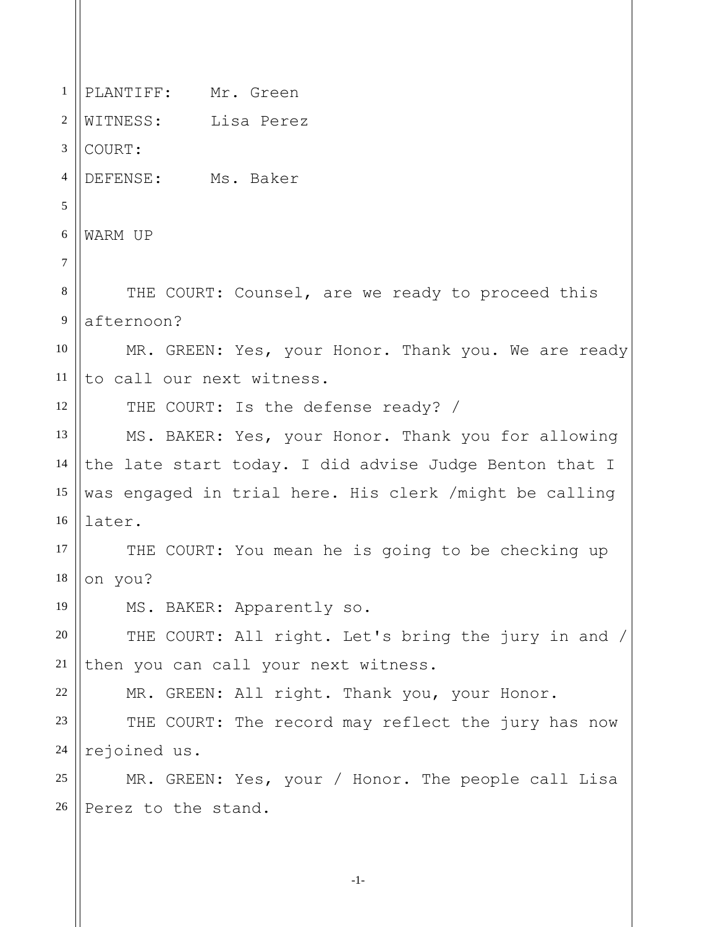1 2 3 4 5 6 7 8 9 10 11 12 13 14 15 16 17 18 19 20 21 22 23 24 25 26 PLANTIFF: Mr. Green WITNESS: Lisa Perez COURT: DEFENSE: Ms. Baker WARM UP THE COURT: Counsel, are we ready to proceed this afternoon? MR. GREEN: Yes, your Honor. Thank you. We are ready to call our next witness. THE COURT: Is the defense ready? / MS. BAKER: Yes, your Honor. Thank you for allowing the late start today. I did advise Judge Benton that I was engaged in trial here. His clerk /might be calling later. THE COURT: You mean he is going to be checking up on you? MS. BAKER: Apparently so. THE COURT: All right. Let's bring the jury in and / then you can call your next witness. MR. GREEN: All right. Thank you, your Honor. THE COURT: The record may reflect the jury has now rejoined us. MR. GREEN: Yes, your / Honor. The people call Lisa Perez to the stand.

-1-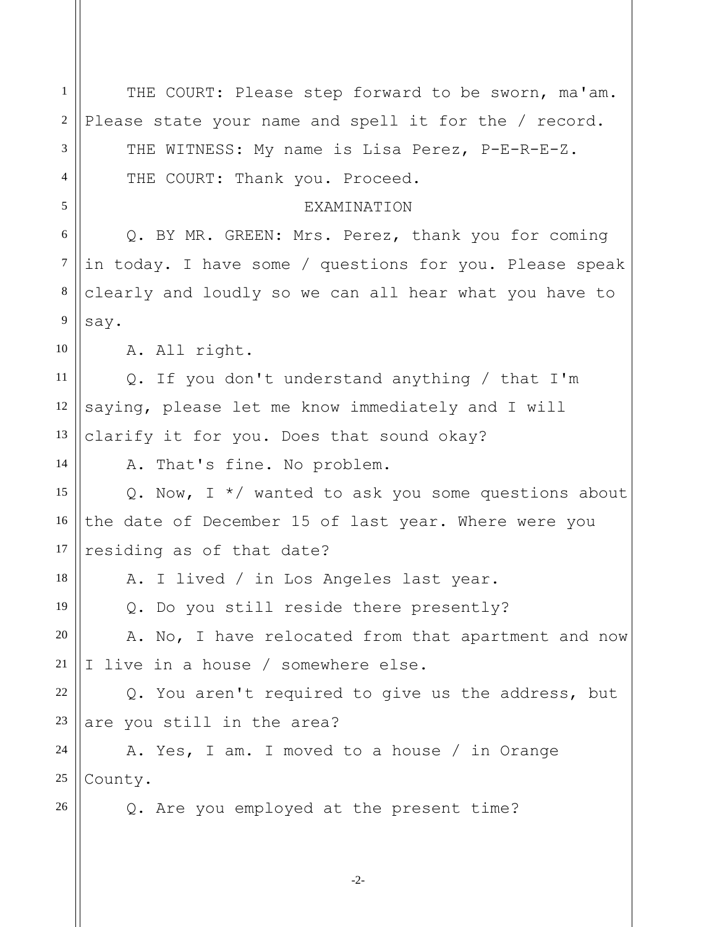-2- 1 2 3 4 5 6 7 8 9 10 11 12 13 14 15 16 17 18 19 20 21 22 23 24 25 26 THE COURT: Please step forward to be sworn, ma'am. Please state your name and spell it for the / record. THE WITNESS: My name is Lisa Perez, P-E-R-E-Z. THE COURT: Thank you. Proceed. EXAMINATION Q. BY MR. GREEN: Mrs. Perez, thank you for coming in today. I have some / questions for you. Please speak clearly and loudly so we can all hear what you have to say. A. All right. Q. If you don't understand anything / that I'm saying, please let me know immediately and I will clarify it for you. Does that sound okay? A. That's fine. No problem. Q. Now, I \*/ wanted to ask you some questions about the date of December 15 of last year. Where were you residing as of that date? A. I lived / in Los Angeles last year. Q. Do you still reside there presently? A. No, I have relocated from that apartment and now I live in a house / somewhere else. Q. You aren't required to give us the address, but are you still in the area? A. Yes, I am. I moved to a house / in Orange County. Q. Are you employed at the present time?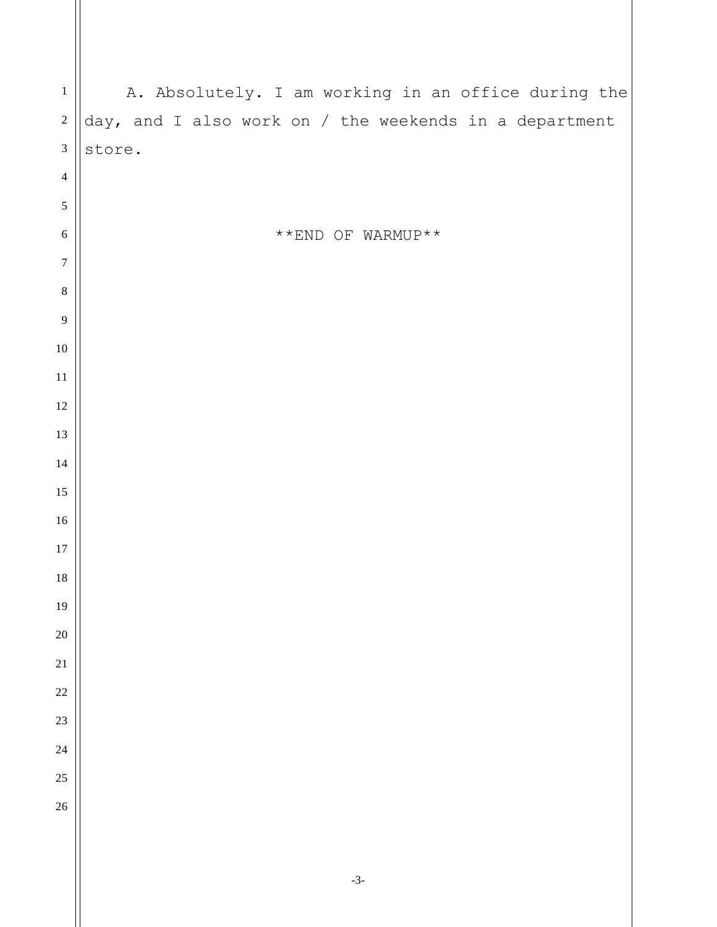| $1\,$            | A. Absolutely. I am working in an office during the    |
|------------------|--------------------------------------------------------|
| $\sqrt{2}$       | day, and I also work on / the weekends in a department |
| $\mathfrak 3$    | store.                                                 |
| $\overline{4}$   |                                                        |
| $\sqrt{5}$       |                                                        |
| $\sqrt{6}$       | **END OF WARMUP**                                      |
| $\boldsymbol{7}$ |                                                        |
| $\,8\,$          |                                                        |
| $\overline{9}$   |                                                        |
| $10\,$           |                                                        |
| $11\,$           |                                                        |
| 12               |                                                        |
| 13               |                                                        |
| 14               |                                                        |
| 15               |                                                        |
| 16               |                                                        |
| $17\,$           |                                                        |
| $18\,$           |                                                        |
| 19               |                                                        |
| <b>20</b><br>21  |                                                        |
| 22               |                                                        |
| 23               |                                                        |
| 24               |                                                        |
| 25               |                                                        |
| 26               |                                                        |
|                  |                                                        |
|                  |                                                        |
|                  |                                                        |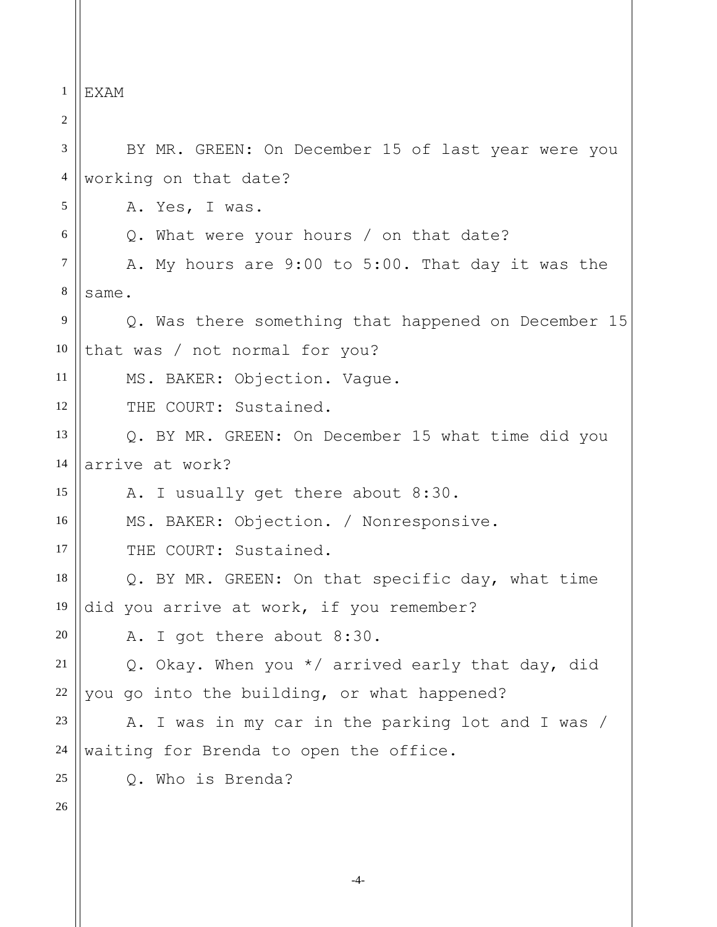1 2 3 4 5 6 7 8 9 10 11 12 13 14 15 16 17 18 19 20 21 22 23 24 25 26 EXAM BY MR. GREEN: On December 15 of last year were you working on that date? A. Yes, I was. Q. What were your hours / on that date? A. My hours are 9:00 to 5:00. That day it was the same. Q. Was there something that happened on December 15 that was / not normal for you? MS. BAKER: Objection. Vague. THE COURT: Sustained. Q. BY MR. GREEN: On December 15 what time did you arrive at work? A. I usually get there about 8:30. MS. BAKER: Objection. / Nonresponsive. THE COURT: Sustained. Q. BY MR. GREEN: On that specific day, what time did you arrive at work, if you remember? A. I got there about 8:30. Q. Okay. When you \*/ arrived early that day, did you go into the building, or what happened? A. I was in my car in the parking lot and I was / waiting for Brenda to open the office. Q. Who is Brenda?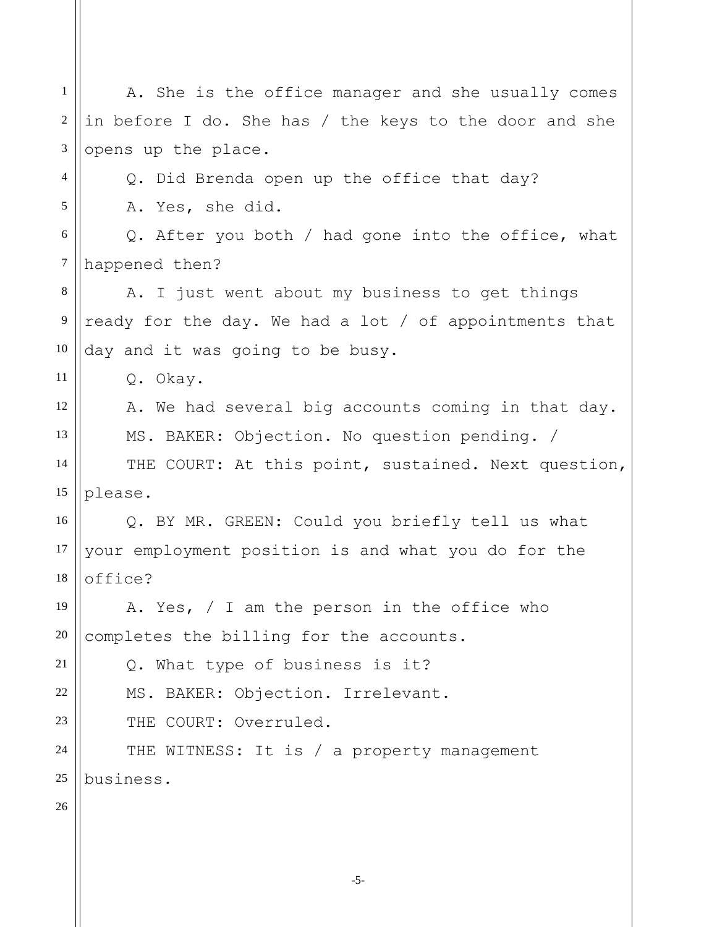| $\mathbf{1}$   | A. She is the office manager and she usually comes     |
|----------------|--------------------------------------------------------|
|                |                                                        |
| 2              | in before I do. She has / the keys to the door and she |
| 3              | opens up the place.                                    |
| $\overline{4}$ | Q. Did Brenda open up the office that day?             |
| 5              | A. Yes, she did.                                       |
| 6              | Q. After you both / had gone into the office, what     |
| $\overline{7}$ | happened then?                                         |
| 8              | A. I just went about my business to get things         |
| $\overline{9}$ | ready for the day. We had a lot / of appointments that |
| 10             | day and it was going to be busy.                       |
| 11             | Q. Okay.                                               |
| 12             | A. We had several big accounts coming in that day.     |
| 13             | MS. BAKER: Objection. No question pending. /           |
| 14             | THE COURT: At this point, sustained. Next question,    |
| 15             | please.                                                |
| 16             | Q. BY MR. GREEN: Could you briefly tell us what        |
| 17             | your employment position is and what you do for the    |
| 18             | office?                                                |
| 19             | A. Yes, / I am the person in the office who            |
| 20             | completes the billing for the accounts.                |
| 21             | Q. What type of business is it?                        |
| 22             | MS. BAKER: Objection. Irrelevant.                      |
| 23             | THE COURT: Overruled.                                  |
| 24             | THE WITNESS: It is / a property management             |
| 25             | business.                                              |
| 26             |                                                        |
|                |                                                        |

-5-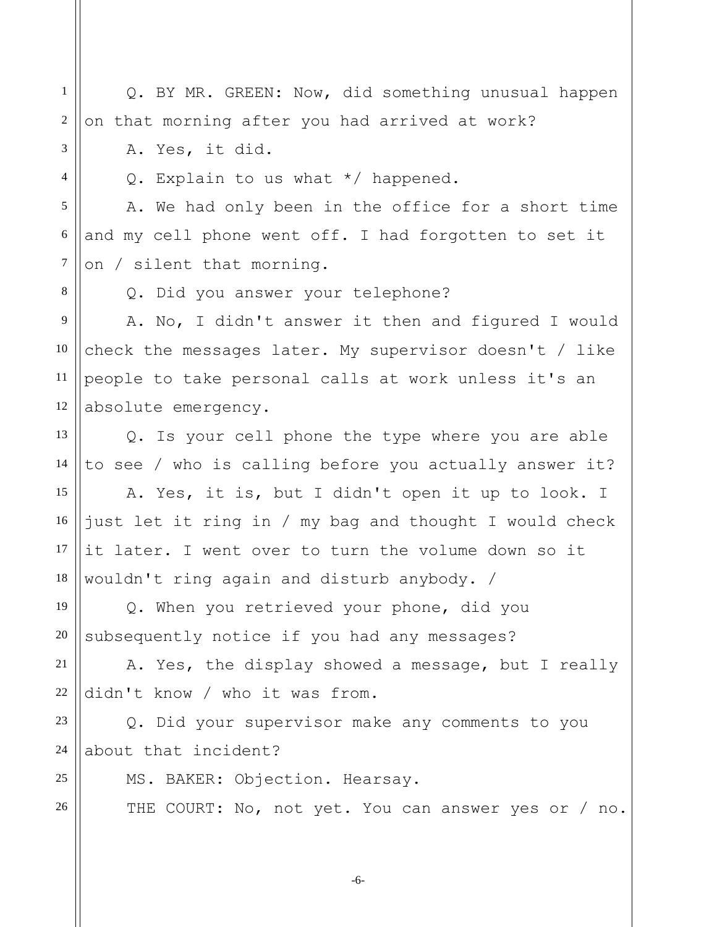Q. BY MR. GREEN: Now, did something unusual happen on that morning after you had arrived at work?

A. Yes, it did.

1

2

3

4

5

6

7

8

25

26

Q. Explain to us what \*/ happened.

A. We had only been in the office for a short time and my cell phone went off. I had forgotten to set it on / silent that morning.

Q. Did you answer your telephone?

9 10 11 12 A. No, I didn't answer it then and figured I would check the messages later. My supervisor doesn't / like people to take personal calls at work unless it's an absolute emergency.

13 14 Q. Is your cell phone the type where you are able to see / who is calling before you actually answer it?

15 16 17 18 A. Yes, it is, but I didn't open it up to look. I just let it ring in / my bag and thought I would check it later. I went over to turn the volume down so it wouldn't ring again and disturb anybody. /

19 20 Q. When you retrieved your phone, did you subsequently notice if you had any messages?

21 22 A. Yes, the display showed a message, but I really didn't know / who it was from.

23 24 Q. Did your supervisor make any comments to you about that incident?

MS. BAKER: Objection. Hearsay.

THE COURT: No, not yet. You can answer yes or / no.

-6-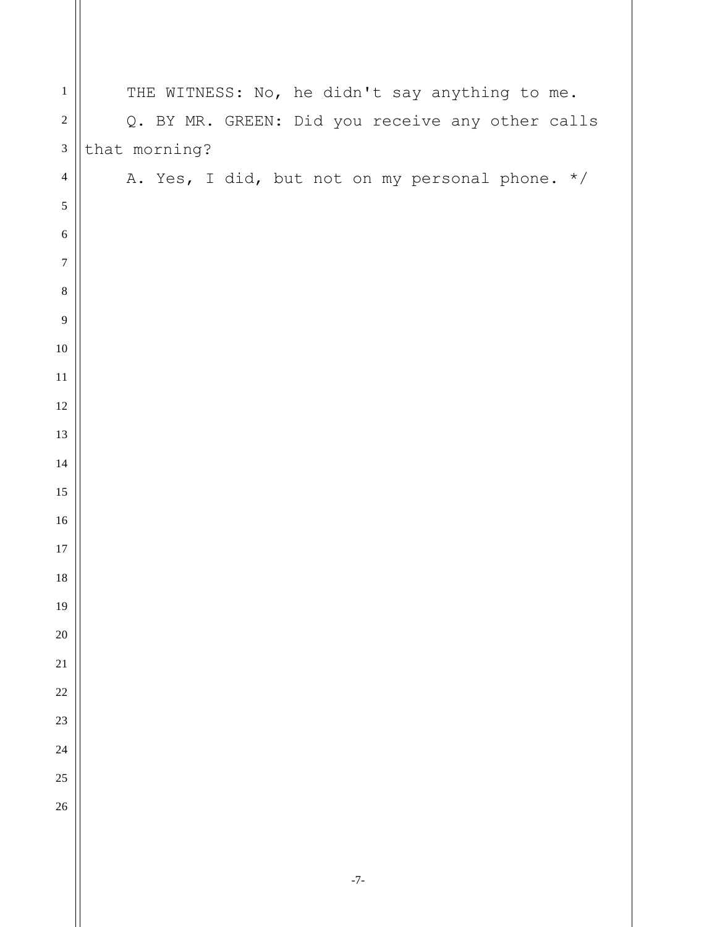| $\,1$            | THE WITNESS: No, he didn't say anything to me.   |
|------------------|--------------------------------------------------|
| $\sqrt{2}$       | Q. BY MR. GREEN: Did you receive any other calls |
| $\mathfrak{Z}$   | that morning?                                    |
| $\overline{4}$   | A. Yes, I did, but not on my personal phone. */  |
| $\sqrt{5}$       |                                                  |
| $\sqrt{6}$       |                                                  |
| $\boldsymbol{7}$ |                                                  |
| $\,8\,$          |                                                  |
| $\overline{9}$   |                                                  |
| $10\,$           |                                                  |
| $11\,$           |                                                  |
| $12\,$           |                                                  |
| 13               |                                                  |
| $14\,$           |                                                  |
| 15               |                                                  |
| $16\,$           |                                                  |
| $17\,$           |                                                  |
| $18\,$           |                                                  |
| 19               |                                                  |
| $20\,$           |                                                  |
| $21\,$           |                                                  |
| $22\,$           |                                                  |
| 23               |                                                  |
| 24               |                                                  |
| 25               |                                                  |
| 26               |                                                  |
|                  |                                                  |
|                  |                                                  |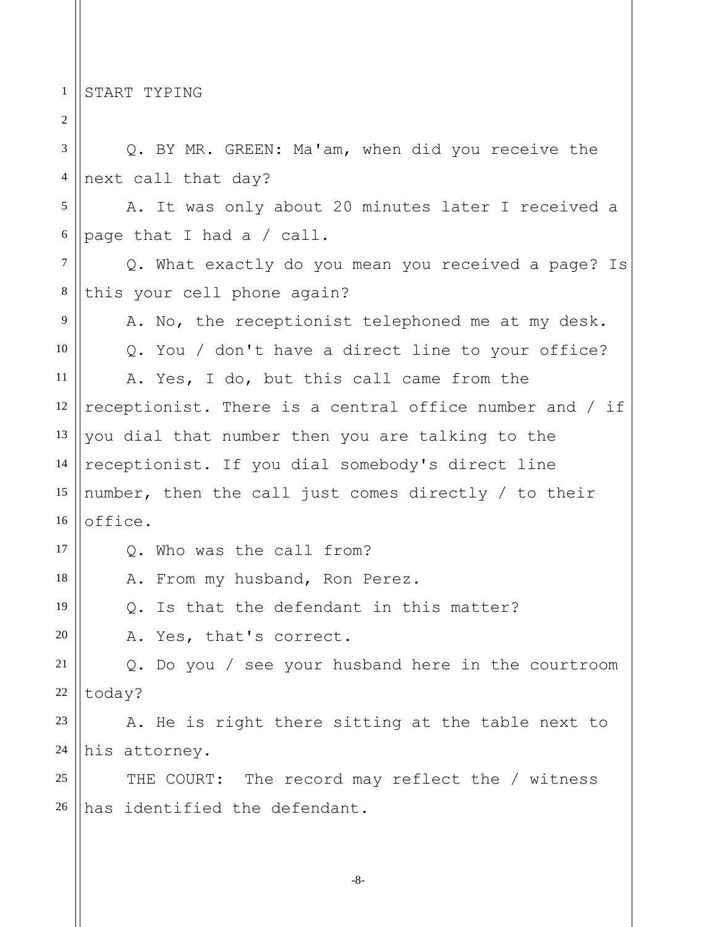1 START TYPING

2 3 4 5 6 7 8 9 10 11 12 13 14 15 16 17 18 19 20 21 22 23 24 25 26 Q. BY MR. GREEN: Ma'am, when did you receive the next call that day? A. It was only about 20 minutes later I received a page that I had a / call. Q. What exactly do you mean you received a page? Is this your cell phone again? A. No, the receptionist telephoned me at my desk. Q. You / don't have a direct line to your office? A. Yes, I do, but this call came from the receptionist. There is a central office number and / if you dial that number then you are talking to the receptionist. If you dial somebody's direct line number, then the call just comes directly / to their office. Q. Who was the call from? A. From my husband, Ron Perez. Q. Is that the defendant in this matter? A. Yes, that's correct. Q. Do you / see your husband here in the courtroom today? A. He is right there sitting at the table next to his attorney. THE COURT: The record may reflect the / witness has identified the defendant.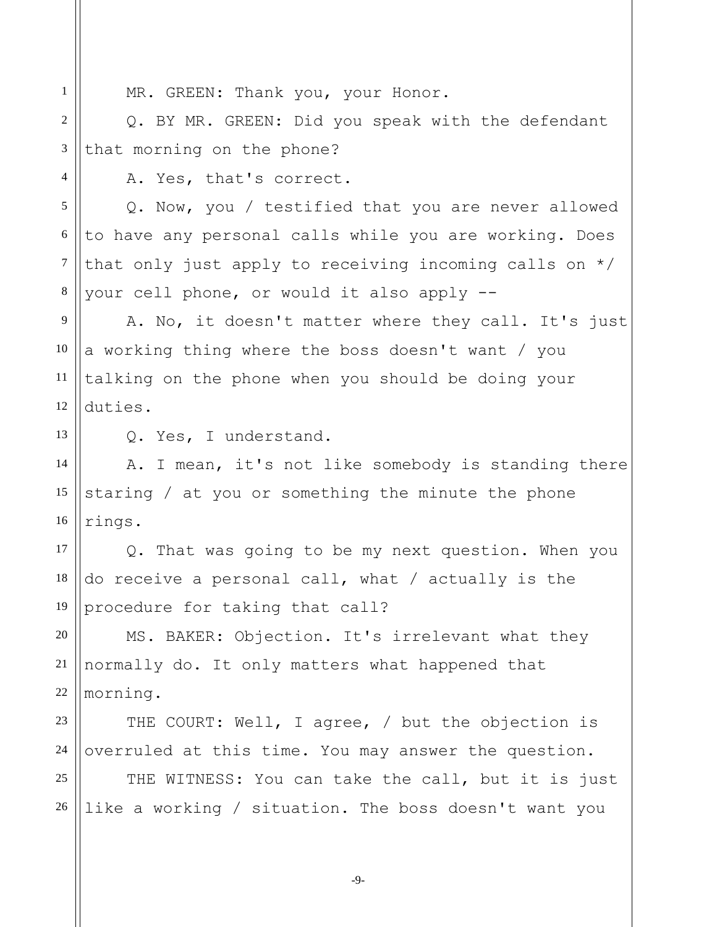6

7

8

MR. GREEN: Thank you, your Honor.

Q. BY MR. GREEN: Did you speak with the defendant that morning on the phone?

A. Yes, that's correct.

Q. Now, you / testified that you are never allowed to have any personal calls while you are working. Does that only just apply to receiving incoming calls on \*/ your cell phone, or would it also apply --

9 10 12 A. No, it doesn't matter where they call. It's just a working thing where the boss doesn't want / you talking on the phone when you should be doing your duties.

13

14

15

16

11

Q. Yes, I understand.

A. I mean, it's not like somebody is standing there staring / at you or something the minute the phone rings.

17 18 19 Q. That was going to be my next question. When you do receive a personal call, what / actually is the procedure for taking that call?

20 21 22 MS. BAKER: Objection. It's irrelevant what they normally do. It only matters what happened that morning.

23 24 THE COURT: Well, I agree, / but the objection is overruled at this time. You may answer the question.

25 26 THE WITNESS: You can take the call, but it is just like a working / situation. The boss doesn't want you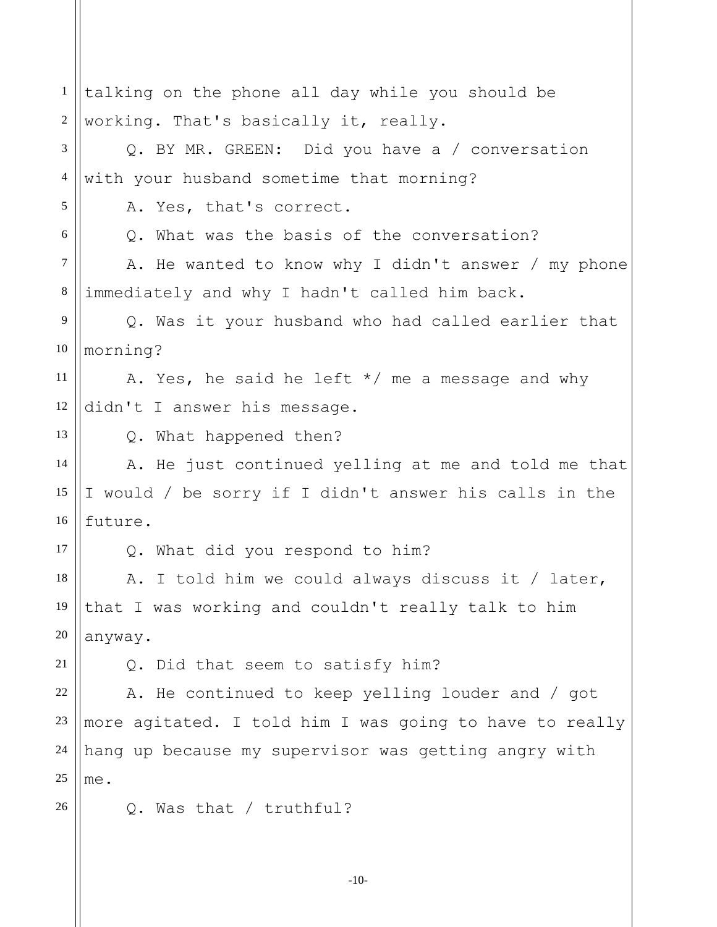| $\mathbf{1}$   | talking on the phone all day while you should be        |
|----------------|---------------------------------------------------------|
| $\overline{2}$ | working. That's basically it, really.                   |
| 3              | Q. BY MR. GREEN: Did you have a / conversation          |
| $\overline{4}$ | with your husband sometime that morning?                |
| 5              | A. Yes, that's correct.                                 |
| 6              | Q. What was the basis of the conversation?              |
| $\tau$         | A. He wanted to know why I didn't answer / my phone     |
| $8\phantom{1}$ | immediately and why I hadn't called him back.           |
| 9              | Q. Was it your husband who had called earlier that      |
| 10             | morning?                                                |
| 11             | A. Yes, he said he left $*/$ me a message and why       |
| 12             | didn't I answer his message.                            |
| 13             | Q. What happened then?                                  |
| 14             | A. He just continued yelling at me and told me that     |
| 15             | I would / be sorry if I didn't answer his calls in the  |
| 16             | future.                                                 |
| 17             | Q. What did you respond to him?                         |
| 18             | A. I told him we could always discuss it / later,       |
| 19             | that I was working and couldn't really talk to him      |
| 20             | anyway.                                                 |
| 21             | Q. Did that seem to satisfy him?                        |
| 22             | A. He continued to keep yelling louder and / got        |
| 23             | more agitated. I told him I was going to have to really |
| 24             | hang up because my supervisor was getting angry with    |
| 25             | me.                                                     |
| 26             | Q. Was that / truthful?                                 |
|                |                                                         |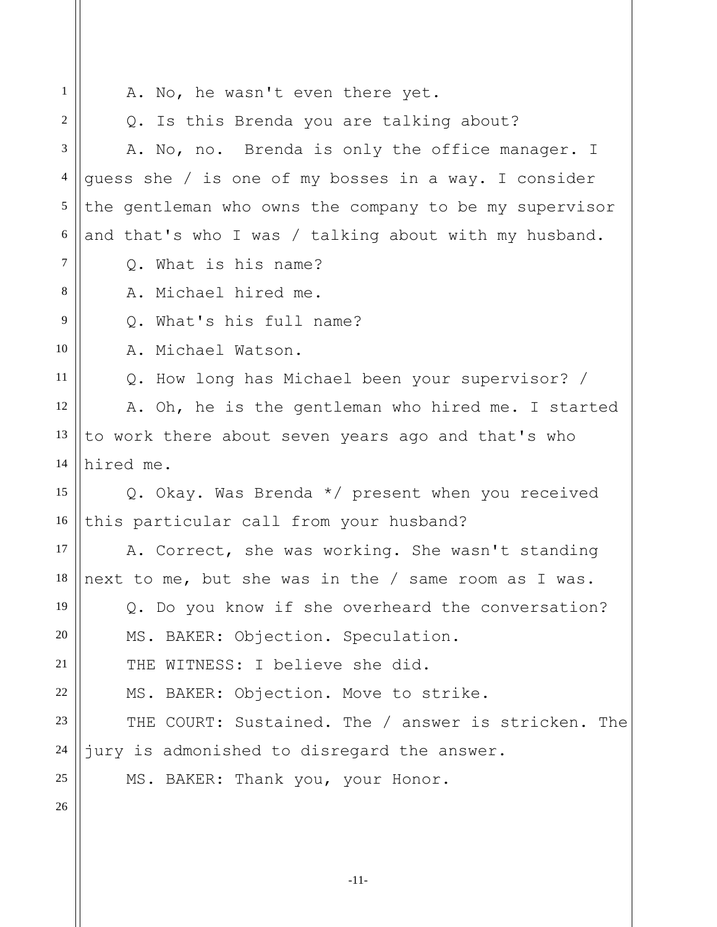1 2 3 4 5 6 7 8 9 10 11 12 13 14 15 16 17 18 19 20 21 22 23 24 25 26 A. No, he wasn't even there yet. Q. Is this Brenda you are talking about? A. No, no. Brenda is only the office manager. I guess she / is one of my bosses in a way. I consider the gentleman who owns the company to be my supervisor and that's who I was / talking about with my husband. Q. What is his name? A. Michael hired me. Q. What's his full name? A. Michael Watson. Q. How long has Michael been your supervisor? / A. Oh, he is the gentleman who hired me. I started to work there about seven years ago and that's who hired me. Q. Okay. Was Brenda \*/ present when you received this particular call from your husband? A. Correct, she was working. She wasn't standing next to me, but she was in the / same room as I was. Q. Do you know if she overheard the conversation? MS. BAKER: Objection. Speculation. THE WITNESS: I believe she did. MS. BAKER: Objection. Move to strike. THE COURT: Sustained. The / answer is stricken. The jury is admonished to disregard the answer. MS. BAKER: Thank you, your Honor.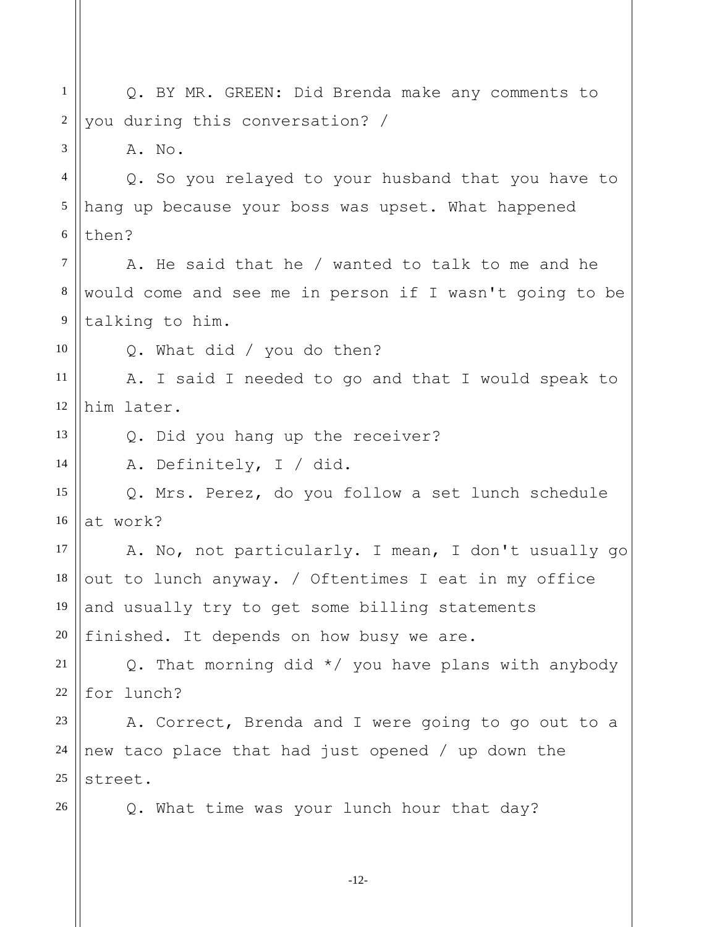1 2 3 4 5 6 7 8 9 10 11 12 13 14 15 16 17 18 19 20 21 22 23 24 25 26 Q. BY MR. GREEN: Did Brenda make any comments to you during this conversation? / A. No. Q. So you relayed to your husband that you have to hang up because your boss was upset. What happened then? A. He said that he / wanted to talk to me and he would come and see me in person if I wasn't going to be talking to him. Q. What did / you do then? A. I said I needed to go and that I would speak to him later. Q. Did you hang up the receiver? A. Definitely, I / did. Q. Mrs. Perez, do you follow a set lunch schedule at work? A. No, not particularly. I mean, I don't usually go out to lunch anyway. / Oftentimes I eat in my office and usually try to get some billing statements finished. It depends on how busy we are. Q. That morning did \*/ you have plans with anybody for lunch? A. Correct, Brenda and I were going to go out to a new taco place that had just opened / up down the street. Q. What time was your lunch hour that day?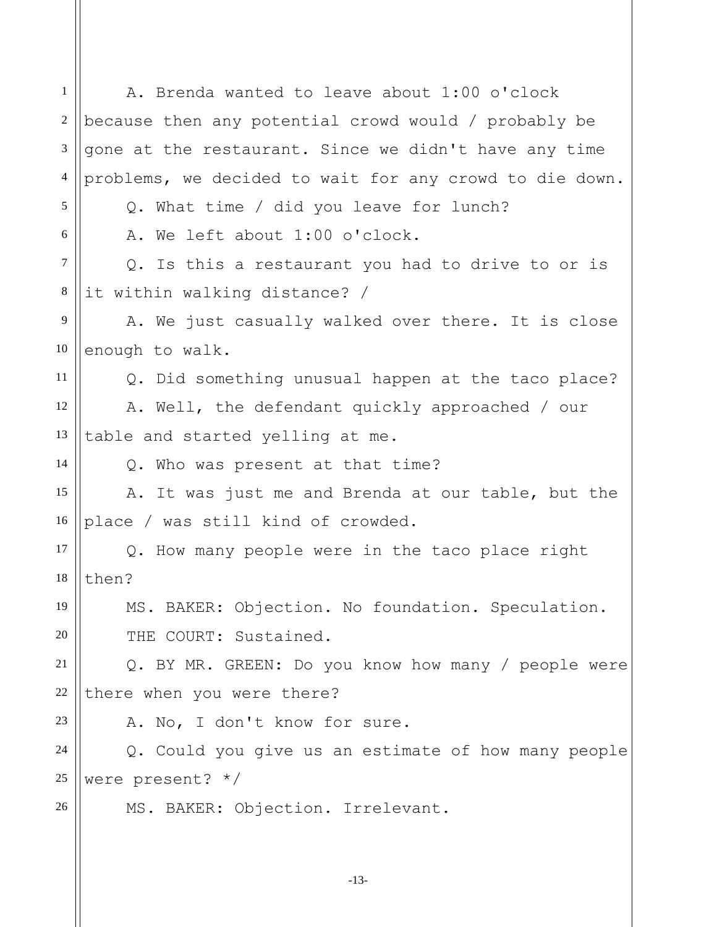1 2 3 4 5 6 7 8 9 10 11 12 13 14 15 16 17 18 19 20 21 22 23 24 25 26 A. Brenda wanted to leave about 1:00 o'clock because then any potential crowd would / probably be gone at the restaurant. Since we didn't have any time problems, we decided to wait for any crowd to die down. Q. What time / did you leave for lunch? A. We left about 1:00 o'clock. Q. Is this a restaurant you had to drive to or is it within walking distance? / A. We just casually walked over there. It is close enough to walk. Q. Did something unusual happen at the taco place? A. Well, the defendant quickly approached / our table and started yelling at me. Q. Who was present at that time? A. It was just me and Brenda at our table, but the place / was still kind of crowded. Q. How many people were in the taco place right then? MS. BAKER: Objection. No foundation. Speculation. THE COURT: Sustained. Q. BY MR. GREEN: Do you know how many / people were there when you were there? A. No, I don't know for sure. Q. Could you give us an estimate of how many people were present? \*/ MS. BAKER: Objection. Irrelevant.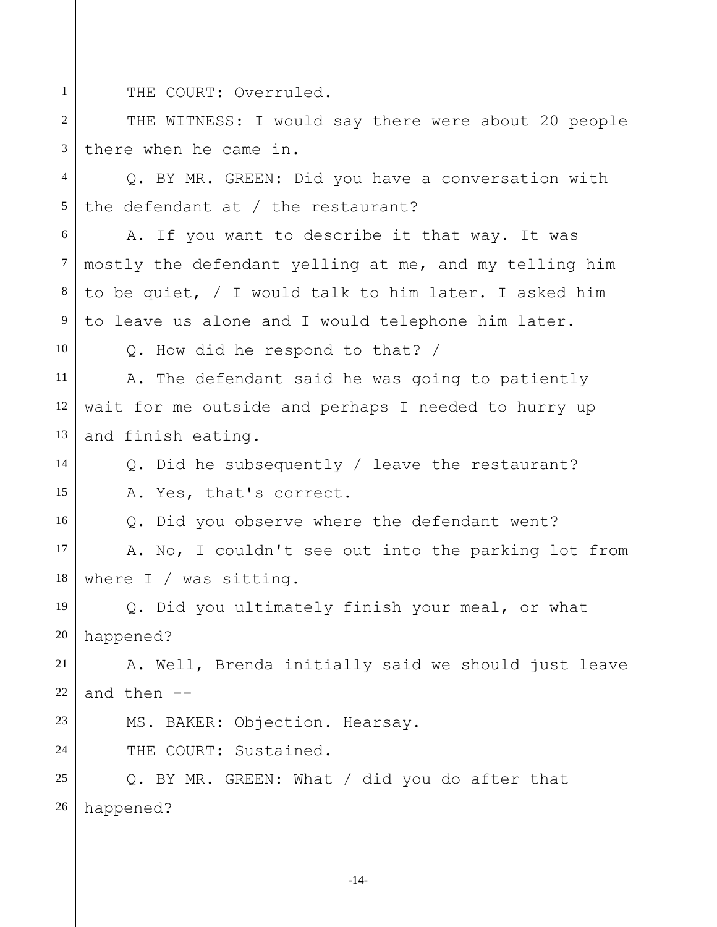THE COURT: Overruled.

2 3 THE WITNESS: I would say there were about 20 people there when he came in.

4 5 Q. BY MR. GREEN: Did you have a conversation with the defendant at / the restaurant?

6 7 8 9 A. If you want to describe it that way. It was mostly the defendant yelling at me, and my telling him to be quiet, / I would talk to him later. I asked him to leave us alone and I would telephone him later.

10

14

15

16

23

24

1

Q. How did he respond to that? /

11 12 13 A. The defendant said he was going to patiently wait for me outside and perhaps I needed to hurry up and finish eating.

Q. Did he subsequently / leave the restaurant? A. Yes, that's correct.

Q. Did you observe where the defendant went?

17 18 A. No, I couldn't see out into the parking lot from where I / was sitting.

19 20 Q. Did you ultimately finish your meal, or what happened?

21 22 A. Well, Brenda initially said we should just leave and then --

MS. BAKER: Objection. Hearsay.

THE COURT: Sustained.

25 26 Q. BY MR. GREEN: What / did you do after that happened?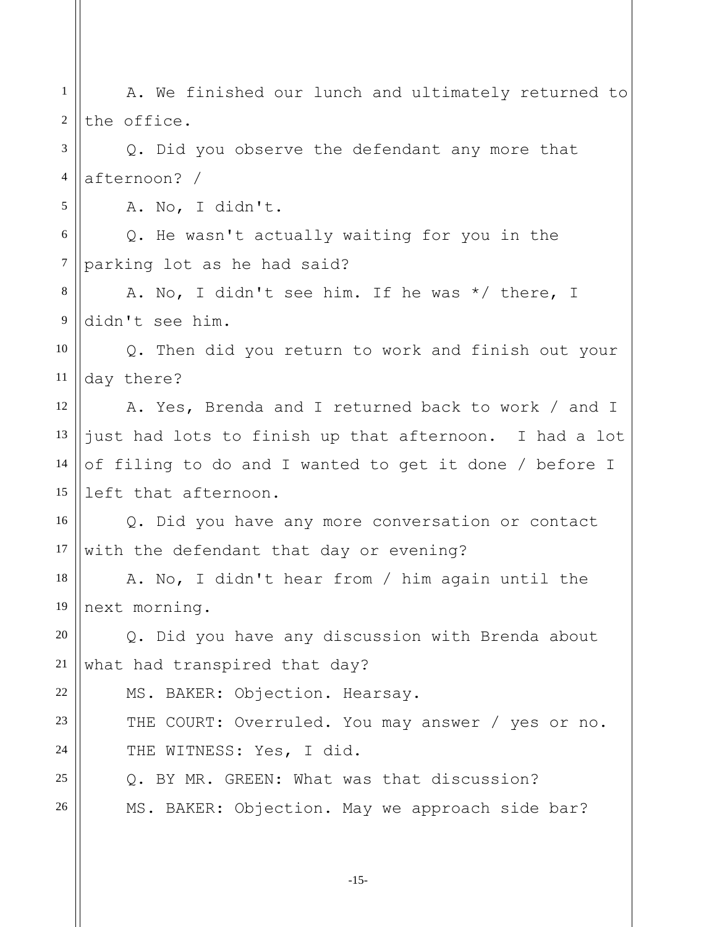1 2 3 4 5 6 7 8 9 10 11 12 13 14 15 16 17 18 19 20 21 22 23 24 25 26 A. We finished our lunch and ultimately returned to the office. Q. Did you observe the defendant any more that afternoon? / A. No, I didn't. Q. He wasn't actually waiting for you in the parking lot as he had said? A. No, I didn't see him. If he was \*/ there, I didn't see him. Q. Then did you return to work and finish out your day there? A. Yes, Brenda and I returned back to work / and I just had lots to finish up that afternoon. I had a lot of filing to do and I wanted to get it done / before I left that afternoon. Q. Did you have any more conversation or contact with the defendant that day or evening? A. No, I didn't hear from / him again until the next morning. Q. Did you have any discussion with Brenda about what had transpired that day? MS. BAKER: Objection. Hearsay. THE COURT: Overruled. You may answer / yes or no. THE WITNESS: Yes, I did. Q. BY MR. GREEN: What was that discussion? MS. BAKER: Objection. May we approach side bar?

-15-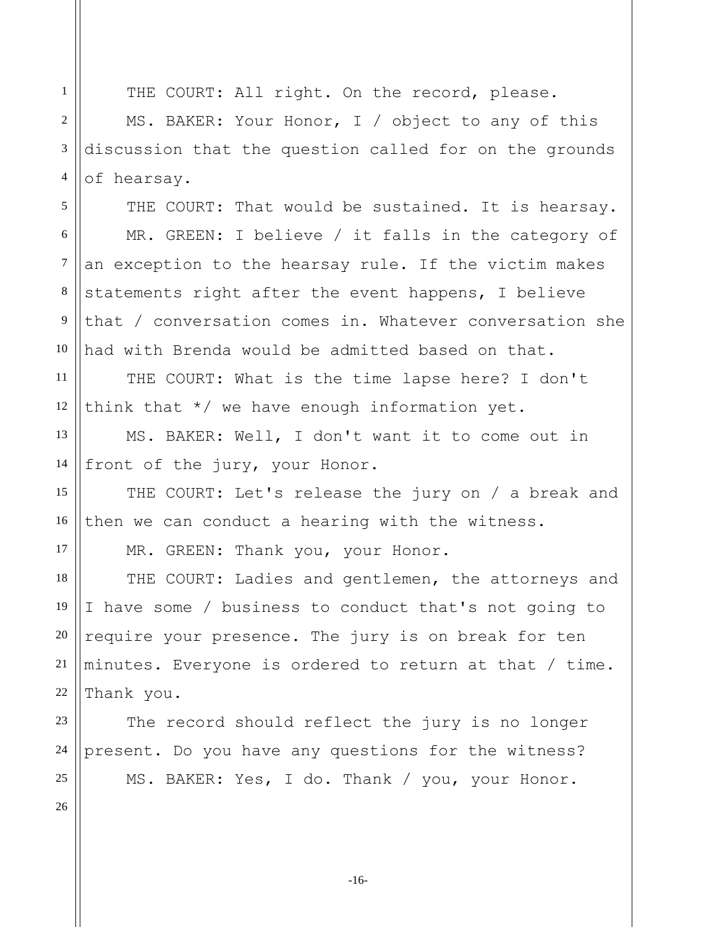THE COURT: All right. On the record, please.

MS. BAKER: Your Honor, I / object to any of this discussion that the question called for on the grounds of hearsay.

THE COURT: That would be sustained. It is hearsay. MR. GREEN: I believe / it falls in the category of an exception to the hearsay rule. If the victim makes statements right after the event happens, I believe that / conversation comes in. Whatever conversation she had with Brenda would be admitted based on that.

12 THE COURT: What is the time lapse here? I don't think that \*/ we have enough information yet.

MS. BAKER: Well, I don't want it to come out in front of the jury, your Honor.

THE COURT: Let's release the jury on / a break and then we can conduct a hearing with the witness.

MR. GREEN: Thank you, your Honor.

18 19 20 22 THE COURT: Ladies and gentlemen, the attorneys and I have some / business to conduct that's not going to require your presence. The jury is on break for ten minutes. Everyone is ordered to return at that / time. Thank you.

23 24 25 The record should reflect the jury is no longer present. Do you have any questions for the witness? MS. BAKER: Yes, I do. Thank / you, your Honor.

26

1

2

3

4

5

6

7

8

9

10

11

13

14

15

16

17

21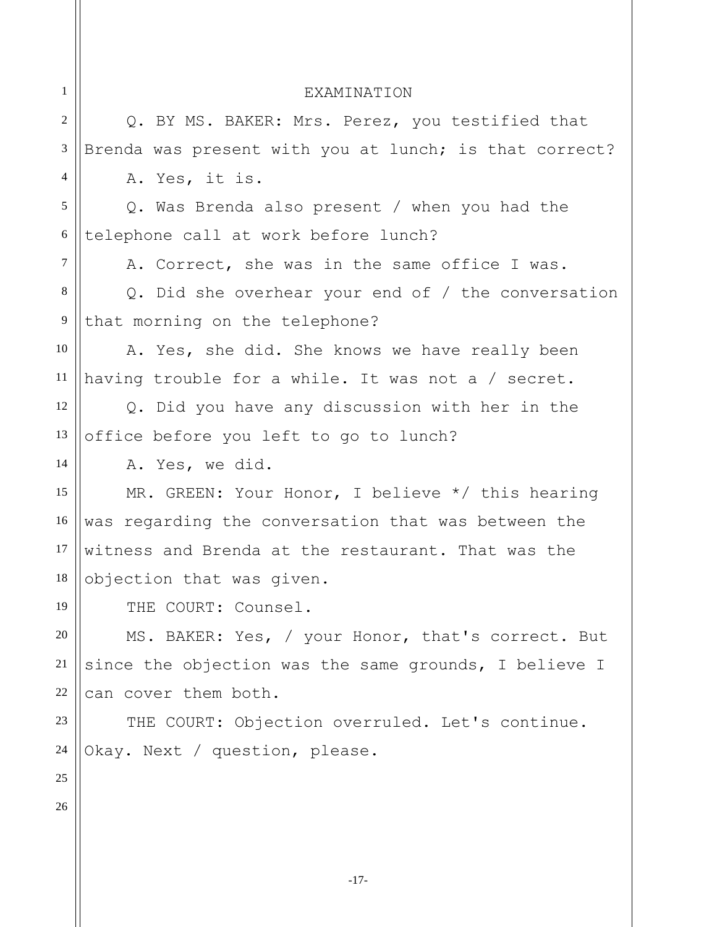| $\mathbf{1}$   | <b>EXAMINATION</b>                                     |
|----------------|--------------------------------------------------------|
| $\overline{2}$ | Q. BY MS. BAKER: Mrs. Perez, you testified that        |
| 3              | Brenda was present with you at lunch; is that correct? |
| 4              | A. Yes, it is.                                         |
| 5              | Q. Was Brenda also present / when you had the          |
| 6              | telephone call at work before lunch?                   |
| $\tau$         | A. Correct, she was in the same office I was.          |
| 8              | Q. Did she overhear your end of $/$ the conversation   |
| 9              | that morning on the telephone?                         |
| 10             | A. Yes, she did. She knows we have really been         |
| 11             | having trouble for a while. It was not a / secret.     |
| 12             | Q. Did you have any discussion with her in the         |
| 13             | office before you left to go to lunch?                 |
| 14             | A. Yes, we did.                                        |
| 15             | MR. GREEN: Your Honor, I believe */ this hearing       |
| 16             | was regarding the conversation that was between the    |
| 17             | witness and Brenda at the restaurant. That was the     |
| 18             | objection that was given.                              |
| 19             | THE COURT: Counsel.                                    |
| $20\,$         | MS. BAKER: Yes, / your Honor, that's correct. But      |
| 21             | since the objection was the same grounds, I believe I  |
| 22             | can cover them both.                                   |
| 23             | THE COURT: Objection overruled. Let's continue.        |
| 24             | Okay. Next / question, please.                         |
| 25             |                                                        |
| 26             |                                                        |
|                |                                                        |
|                |                                                        |

-17-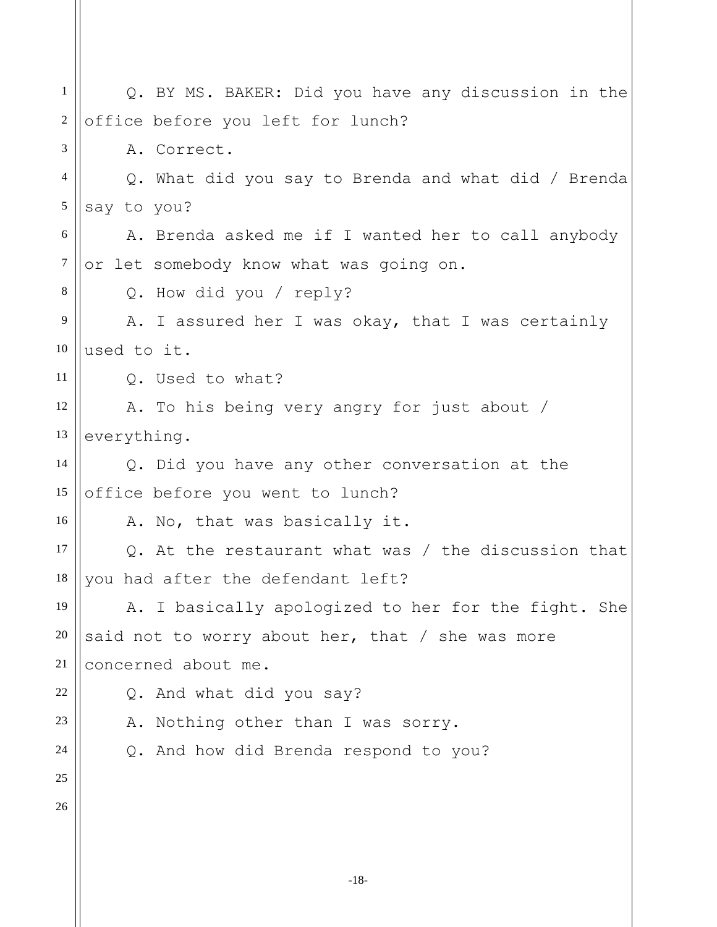1 2 3 4 5 6 7 8 9 10 11 12 13 14 15 16 17 18 19 20 21 22 23 24 25 26 Q. BY MS. BAKER: Did you have any discussion in the office before you left for lunch? A. Correct. Q. What did you say to Brenda and what did / Brenda say to you? A. Brenda asked me if I wanted her to call anybody or let somebody know what was going on. Q. How did you / reply? A. I assured her I was okay, that I was certainly used to it. Q. Used to what? A. To his being very angry for just about / everything. Q. Did you have any other conversation at the office before you went to lunch? A. No, that was basically it. Q. At the restaurant what was / the discussion that you had after the defendant left? A. I basically apologized to her for the fight. She said not to worry about her, that / she was more concerned about me. Q. And what did you say? A. Nothing other than I was sorry. Q. And how did Brenda respond to you?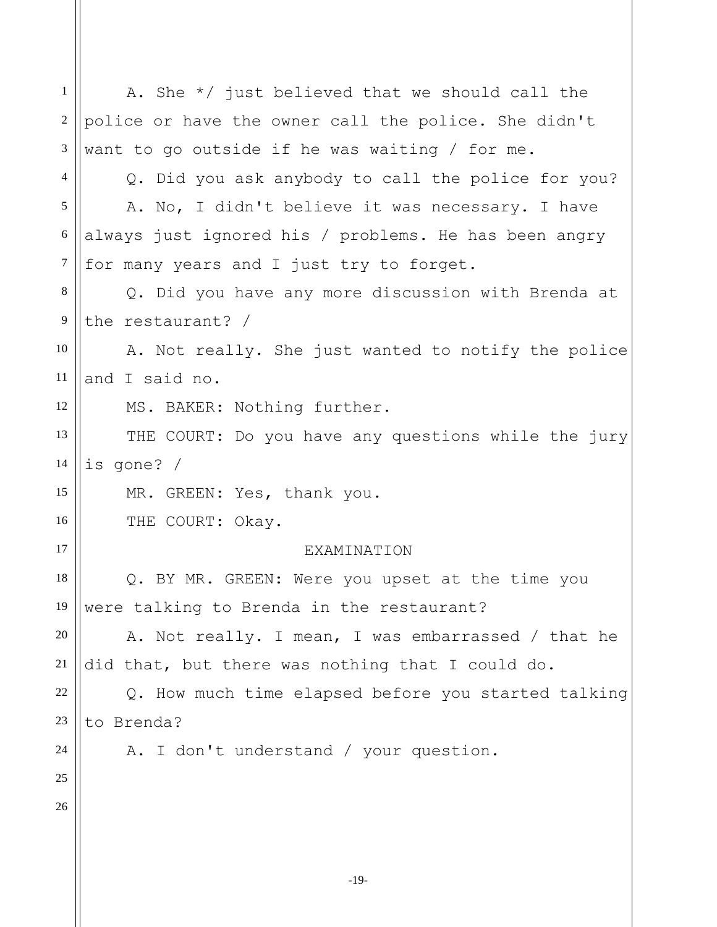1 2 3 4 5 6 7 8 9 10 11 12 13 14 15 16 17 18 19 20 21 22 23 24 25 26 A. She \*/ just believed that we should call the police or have the owner call the police. She didn't want to go outside if he was waiting / for me. Q. Did you ask anybody to call the police for you? A. No, I didn't believe it was necessary. I have always just ignored his / problems. He has been angry for many years and I just try to forget. Q. Did you have any more discussion with Brenda at the restaurant? / A. Not really. She just wanted to notify the police and I said no. MS. BAKER: Nothing further. THE COURT: Do you have any questions while the jury is gone? / MR. GREEN: Yes, thank you. THE COURT: Okay. **EXAMINATION** Q. BY MR. GREEN: Were you upset at the time you were talking to Brenda in the restaurant? A. Not really. I mean, I was embarrassed / that he did that, but there was nothing that I could do. Q. How much time elapsed before you started talking to Brenda? A. I don't understand / your question.

-19-